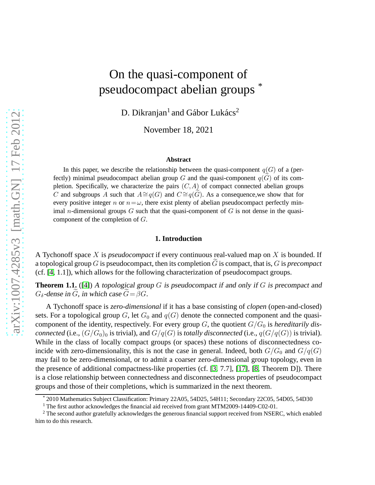# On the quasi-component of pseudocompact abelian groups \*

D. Dikranjan<sup>1</sup> and Gábor Lukács<sup>2</sup>

November 18, 2021

#### **Abstract**

In this paper, we describe the relationship between the quasi-component  $q(G)$  of a (perfectly) minimal pseudocompact abelian group G and the quasi-component  $q(G)$  of its completion. Specifically, we characterize the pairs  $(C, A)$  of compact connected abelian groups C and subgroups A such that  $A \cong q(G)$  and  $C \cong q(G)$ . As a consequence, we show that for every positive integer n or  $n = \omega$ , there exist plenty of abelian pseudocompact perfectly minimal *n*-dimensional groups  $G$  such that the quasi-component of  $G$  is not dense in the quasicomponent of the completion of G.

#### **1. Introduction**

A Tychonoff space X is *pseudocompact* if every continuous real-valued map on X is bounded. If a topological group  $G$  is pseudocompact, then its completion  $G$  is compact, that is,  $G$  is *precompact* (cf. [\[4,](#page-7-0) 1.1]), which allows for the following characterization of pseudocompact groups.

<span id="page-0-0"></span>**Theorem 1.1.** ([\[4\]](#page-7-0)) A topological group G is pseudocompact if and only if G is precompact and  $G_{\delta}$ -dense in G, in which case  $G = \beta G$ .

A Tychonoff space is *zero-dimensional* if it has a base consisting of *clopen* (open-and-closed) sets. For a topological group G, let  $G_0$  and  $q(G)$  denote the connected component and the quasicomponent of the identity, respectively. For every group  $G$ , the quotient  $G/G_0$  is *hereditarily disconnected* (i.e.,  $(G/G_0)_0$  is trivial), and  $G/q(G)$  is *totally disconnected* (i.e.,  $q(G/q(G))$  is trivial). While in the class of locally compact groups (or spaces) these notions of disconnectedness coincide with zero-dimensionality, this is not the case in general. Indeed, both  $G/G_0$  and  $G/q(G)$ may fail to be zero-dimensional, or to admit a coarser zero-dimensional group topology, even in the presence of additional compactness-like properties (cf. [\[3,](#page-7-1) 7.7], [\[17\]](#page-7-2), [\[8,](#page-7-3) Theorem D]). There is a close relationship between connectedness and disconnectedness properties of pseudocompact groups and those of their completions, which is summarized in the next theorem.

<sup>\*</sup> 2010 Mathematics Subject Classification: Primary 22A05, 54D25, 54H11; Secondary 22C05, 54D05, 54D30

<sup>&</sup>lt;sup>1</sup> The first author acknowledges the financial aid received from grant MTM2009-14409-C02-01.

<sup>&</sup>lt;sup>2</sup> The second author gratefully acknowledges the generous financial support received from NSERC, which enabled him to do this research.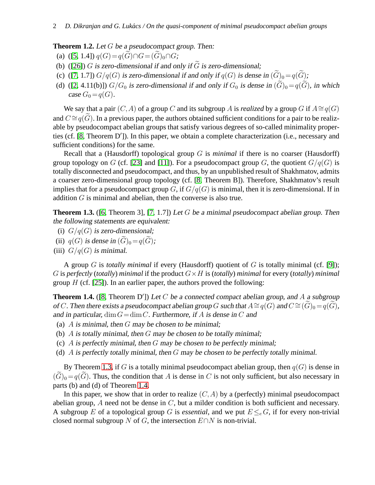<span id="page-1-2"></span>**Theorem 1.2.** Let G be <sup>a</sup> pseudocompact group. Then:

(a) ([\[5,](#page-7-4) 1.4])  $q(G) = q(\widetilde{G}) \cap G = (\widetilde{G})_0 \cap G;$ 

- (b) ([\[26\]](#page-8-0)) G is zero-dimensional if and only if  $\tilde{G}$  is zero-dimensional;
- (c) ([\[7,](#page-7-5) 1.7])  $G/q(G)$  is zero-dimensional if and only if  $q(G)$  is dense in  $(\widetilde{G})_0 = q(\widetilde{G})$ ;
- (d) ([\[2,](#page-7-6) 4.11(b)])  $G/G_0$  is zero-dimensional if and only if  $G_0$  is dense in  $(\widetilde{G})_0 = q(\widetilde{G})$ , in which case  $G_0 = q(G)$ .

We say that a pair  $(C, A)$  of a group C and its subgroup A is *realized* by a group G if  $A \cong q(G)$ and  $C \cong q(G)$ . In a previous paper, the authors obtained sufficient conditions for a pair to be realizable by pseudocompact abelian groups that satisfy various degrees of so-called minimality properties (cf. [\[8,](#page-7-3) Theorem D′ ]). In this paper, we obtain a complete characterization (i.e., necessary and sufficient conditions) for the same.

Recall that a (Hausdorff) topological group G is *minimal* if there is no coarser (Hausdorff) group topology on G (cf. [\[23\]](#page-8-1) and [\[11\]](#page-7-7)). For a pseudocompact group G, the quotient  $G/q(G)$  is totally disconnected and pseudocompact, and thus, by an unpublished result of Shakhmatov, admits a coarser zero-dimensional group topology (cf. [\[8,](#page-7-3) Theorem B]). Therefore, Shakhmatov's result implies that for a pseudocompact group G, if  $G/q(G)$  is minimal, then it is zero-dimensional. If in addition G is minimal and abelian, then the converse is also true.

<span id="page-1-0"></span>**Theorem 1.3.** ([\[6,](#page-7-8) Theorem 3], [\[7,](#page-7-5) 1.7]) Let G be a minimal pseudocompact abelian group. Then the following statements are equivalent:

- (i)  $G/q(G)$  is zero-dimensional;
- (ii)  $q(G)$  is dense in  $(\widetilde{G})_0=q(\widetilde{G})$ ;
- (iii)  $G/q(G)$  is minimal.

A group G is *totally minimal* if every (Hausdorff) quotient of G is totally minimal (cf. [\[9\]](#page-7-9)); G is *perfectly* (*totally*) *minimal* if the product  $G \times H$  is (*totally*) *minimal* for every (*totally*) *minimal* group  $H$  (cf. [\[25\]](#page-8-2)). In an earlier paper, the authors proved the following:

<span id="page-1-1"></span>**Theorem 1.4.** ([\[8,](#page-7-3) Theorem D']) Let  $C$  be a connected compact abelian group, and  $A$  a subgroup of C. Then there exists a pseudocompact abelian group G such that  $A \cong q(G)$  and  $C \cong (G)_0 = q(G)$ , and in particular,  $\dim G = \dim C$ . Furthermore, if A is dense in C and

- (a)  $\overline{A}$  is minimal, then  $\overline{G}$  may be chosen to be minimal;
- (b)  $\overline{A}$  is totally minimal, then  $G$  may be chosen to be totally minimal;
- (c)  $\overline{A}$  is perfectly minimal, then  $G$  may be chosen to be perfectly minimal;
- (d)  $\overline{A}$  is perfectly totally minimal, then  $G$  may be chosen to be perfectly totally minimal.

By Theorem [1.3,](#page-1-0) if G is a totally minimal pseudocompact abelian group, then  $q(G)$  is dense in  $(\widetilde{G})_0 = q(\widetilde{G})$ . Thus, the condition that A is dense in C is not only sufficient, but also necessary in parts (b) and (d) of Theorem [1.4.](#page-1-1)

In this paper, we show that in order to realize  $(C, A)$  by a (perfectly) minimal pseudocompact abelian group,  $A$  need not be dense in  $C$ , but a milder condition is both sufficient and necessary. A subgroup E of a topological group G is *essential*, and we put  $E \leq_{e} G$ , if for every non-trivial closed normal subgroup N of G, the intersection  $E \cap N$  is non-trivial.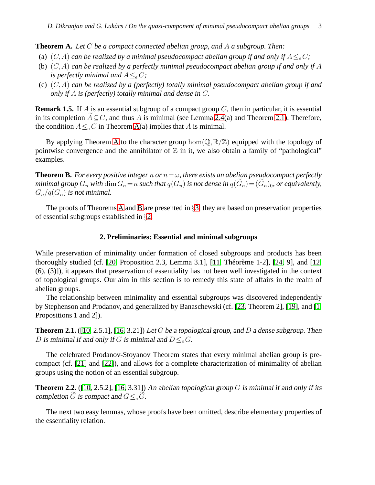<span id="page-2-1"></span>**Theorem A.** *Let* C *be a compact connected abelian group, and* A *a subgroup. Then:*

- (a)  $(C, A)$  *can be realized by a minimal pseudocompact abelian group if and only if*  $A \leq C$ *;*
- (b) (C,A) *can be realized by a perfectly minimal pseudocompact abelian group if and only if* A *is perfectly minimal and*  $A \leq_{e} C$ ;
- (c) (C,A) *can be realized by a (perfectly) totally minimal pseudocompact abelian group if and only if* A *is (perfectly) totally minimal and dense in* C*.*

**Remark 1.5.** If A is an essential subgroup of a compact group  $C$ , then in particular, it is essential in its completion  $A \subseteq C$ , and thus A is minimal (see Lemma [2.4\(](#page-3-0)a) and Theorem [2.1\)](#page-2-0). Therefore, the condition  $A \leq_{e} C$  in Theorem [A\(](#page-2-1)a) implies that A is minimal.

By applying Theorem [A](#page-2-1) to the character group  $\hom(\mathbb{Q}, \mathbb{R}/\mathbb{Z})$  equipped with the topology of pointwise convergence and the annihilator of  $\mathbb Z$  in it, we also obtain a family of "pathological" examples.

<span id="page-2-2"></span>**Theorem B.** For every positive integer n or  $n = \omega$ , there exists an abelian pseudocompact perfectly *minimal group*  $G_n$  *with*  $\dim G_n = n$  *such that*  $q(G_n)$  *is not dense in*  $q(\widetilde{G}_n) = (\widetilde{G}_n)_0$ *, or equivalently,*  $G_n/q(G_n)$  *is not minimal.* 

<span id="page-2-3"></span>The proofs of Theorems [A](#page-2-1) and [B](#page-2-2) are presented in §[3;](#page-5-0) they are based on preservation properties of essential subgroups established in §[2.](#page-2-3)

## **2. Preliminaries: Essential and minimal subgroups**

While preservation of minimality under formation of closed subgroups and products has been thoroughly studied (cf.  $[20,$  Proposition 2.3, Lemma 3.1],  $[11,$  Théorème 1-2],  $[24, 9]$ , and  $[12,$ (6), (3)]), it appears that preservation of essentiality has not been well investigated in the context of topological groups. Our aim in this section is to remedy this state of affairs in the realm of abelian groups.

The relationship between minimality and essential subgroups was discovered independently by Stephenson and Prodanov, and generalized by Banaschewski (cf. [\[23,](#page-8-1) Theorem 2], [\[19\]](#page-8-5), and [\[1,](#page-7-11) Propositions 1 and 2]).

<span id="page-2-0"></span>**Theorem 2.1.** ([\[10,](#page-7-12) 2.5.1], [\[16,](#page-7-13) 3.21]) Let G be a topological group, and D a dense subgroup. Then D is minimal if and only if G is minimal and  $D \leq_e G$ .

The celebrated Prodanov-Stoyanov Theorem states that every minimal abelian group is precompact (cf. [\[21\]](#page-8-6) and [\[22\]](#page-8-7)), and allows for a complete characterization of minimality of abelian groups using the notion of an essential subgroup.

<span id="page-2-4"></span>**Theorem 2.2.** ([\[10,](#page-7-12) 2.5.2], [\[16,](#page-7-13) 3.31]) An abelian topological group  $G$  is minimal if and only if its completion G is compact and  $G \leq_e G$ .

The next two easy lemmas, whose proofs have been omitted, describe elementary properties of the essentiality relation.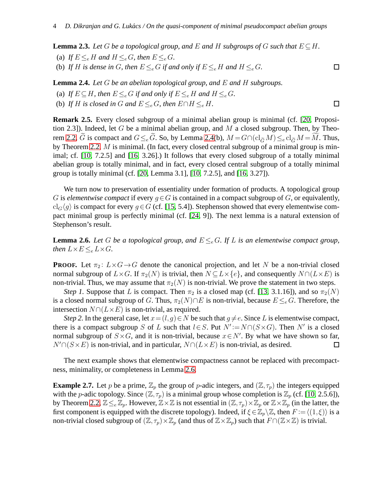$\Box$ 

 $\Box$ 

<span id="page-3-2"></span>**Lemma 2.3.** Let G be a topological group, and E and H subgroups of G such that  $E \subseteq H$ .

- (a) If  $E \leq_e H$  and  $H \leq_e G$ , then  $E \leq_e G$ .
- (b) If H is dense in G, then  $E \leq_e G$  if and only if  $E \leq_e H$  and  $H \leq_e G$ .

<span id="page-3-0"></span>**Lemma 2.4.** *Let* G *be an abelian topological group, and* E *and* H *subgroups.*

- (a) If  $E \subseteq H$ , then  $E \leq_e G$  if and only if  $E \leq_e H$  and  $H \leq_e G$ .
- (b) If H is closed in G and  $E \leq_e G$ , then  $E \cap H \leq_e H$ .

<span id="page-3-3"></span>**Remark 2.5.** Every closed subgroup of a minimal abelian group is minimal (cf. [\[20,](#page-8-3) Proposition 2.3]). Indeed, let G be a minimal abelian group, and M a closed subgroup. Then, by Theo-rem [2.2,](#page-2-4)  $\tilde{G}$  is compact and  $G \leq_e \tilde{G}$ . So, by Lemma [2.4\(](#page-3-0)b),  $M = G \cap (\text{cl}_{\tilde{G}} M) \leq_e \text{cl}_{\tilde{G}} M = \tilde{M}$ . Thus, by Theorem [2.2,](#page-2-4)  $M$  is minimal. (In fact, every closed central subgroup of a minimal group is minimal; cf. [\[10,](#page-7-12) 7.2.5] and [\[16,](#page-7-13) 3.26].) It follows that every closed subgroup of a totally minimal abelian group is totally minimal, and in fact, every closed central subgroup of a totally minimal group is totally minimal (cf. [\[20,](#page-8-3) Lemma 3.1], [\[10,](#page-7-12) 7.2.5], and [\[16,](#page-7-13) 3.27]).

We turn now to preservation of essentiality under formation of products. A topological group G is *elementwise compact* if every  $g \in G$  is contained in a compact subgroup of G, or equivalently,  $cl_G(q)$  is compact for every  $q \in G$  (cf. [\[15,](#page-7-14) 5.4]). Stephenson showed that every elementwise compact minimal group is perfectly minimal (cf. [\[24,](#page-8-4) 9]). The next lemma is a natural extension of Stephenson's result.

<span id="page-3-1"></span>**Lemma 2.6.** *Let* G *be a topological group, and*  $E \leq_e G$ *. If* L *is an elementwise compact group, then*  $L \times E \leq_e L \times G$ *.* 

**PROOF.** Let  $\pi_2: L \times G \rightarrow G$  denote the canonical projection, and let N be a non-trivial closed normal subgroup of  $L \times G$ . If  $\pi_2(N)$  is trivial, then  $N \subseteq L \times \{e\}$ , and consequently  $N \cap (L \times E)$  is non-trivial. Thus, we may assume that  $\pi_2(N)$  is non-trivial. We prove the statement in two steps.

*Step 1.* Suppose that L is compact. Then  $\pi_2$  is a closed map (cf. [\[13,](#page-7-15) 3.1.16]), and so  $\pi_2(N)$ is a closed normal subgroup of G. Thus,  $\pi_2(N) \cap E$  is non-trivial, because  $E \leq_e G$ . Therefore, the intersection  $N \cap (L \times E)$  is non-trivial, as required.

*Step 2.* In the general case, let  $x = (l, g) \in N$  be such that  $g \neq e$ . Since L is elementwise compact, there is a compact subgroup S of L such that  $l \in S$ . Put  $N' := N \cap (S \times G)$ . Then N' is a closed normal subgroup of  $S \times G$ , and it is non-trivial, because  $x \in N'$ . By what we have shown so far,  $N' \cap (S \times E)$  is non-trivial, and in particular,  $N \cap (L \times E)$  is non-trivial, as desired.  $\Box$ 

The next example shows that elementwise compactness cannot be replaced with precompactness, minimality, or completeness in Lemma [2.6.](#page-3-1)

**Example 2.7.** Let p be a prime,  $\mathbb{Z}_p$  the group of p-adic integers, and  $(\mathbb{Z}, \tau_p)$  the integers equipped with the *p*-adic topology. Since  $(\mathbb{Z}, \tau_p)$  is a minimal group whose completion is  $\mathbb{Z}_p$  (cf. [\[10,](#page-7-12) 2.5.6]), by Theorem [2.2,](#page-2-4)  $\mathbb{Z}\leq_e\mathbb{Z}_p$ . However,  $\mathbb{Z}\times\mathbb{Z}$  is not essential in  $(\mathbb{Z},\tau_p)\times\mathbb{Z}_p$  or  $\mathbb{Z}\times\mathbb{Z}_p$  (in the latter, the first component is equipped with the discrete topology). Indeed, if  $\xi \in \mathbb{Z}_p \backslash \mathbb{Z}$ , then  $F := \langle (1, \xi) \rangle$  is a non-trivial closed subgroup of  $(\mathbb{Z}, \tau_p) \times \mathbb{Z}_p$  (and thus of  $\mathbb{Z} \times \mathbb{Z}_p$ ) such that  $F \cap (\mathbb{Z} \times \mathbb{Z})$  is trivial.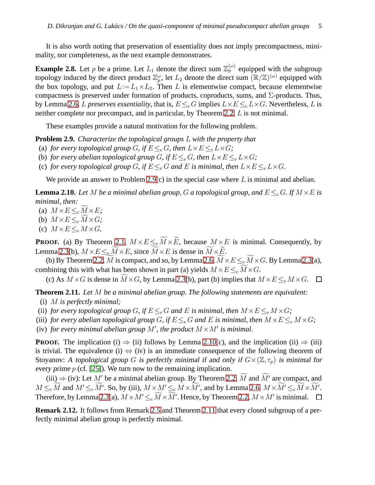It is also worth noting that preservation of essentiality does not imply precompactness, minimality, nor completeness, as the next example demonstrates.

**Example 2.8.** Let p be a prime. Let  $L_1$  denote the direct sum  $\mathbb{Z}_p^{(\omega)}$  equipped with the subgroup topology induced by the direct product  $\mathbb{Z}_p^{\omega}$ , let  $L_2$  denote the direct sum  $(\mathbb{R}/\mathbb{Z})^{(\omega)}$  equipped with the box topology, and put  $L := L_1 \times L_2$ . Then L is elementwise compact, because elementwise compactness is preserved under formation of products, coproducts, sums, and  $\Sigma$ -products. Thus, by Lemma [2.6,](#page-3-1) L *preserves essentiality*, that is,  $E \leq_e G$  implies  $L \times E \leq_e L \times G$ . Nevertheless, L is neither complete nor precompact, and in particular, by Theorem [2.2,](#page-2-4) L is not minimal.

These examples provide a natural motivation for the following problem.

<span id="page-4-0"></span>**Problem 2.9.** *Characterize the topological groups* L *with the property that*

- (a) *for every topological group G*, *if*  $E \leq_e G$ , *then*  $L \times E \leq_e L \times G$ ;
- (b) *for every abelian topological group G*, *if*  $E \leq_e G$ , then  $L \times E \leq_e L \times G$ ;
- (c) *for every topological group G*, *if*  $E \leq_e G$  *and E is minimal, then*  $L \times E \leq_e L \times G$ *.*

We provide an answer to Problem [2.9\(](#page-4-0)c) in the special case where  $L$  is minimal and abelian.

<span id="page-4-1"></span>**Lemma 2.10.** Let M be a minimal abelian group, G a topological group, and  $E \leq_{e} G$ . If  $M \times E$  is *minimal, then:*

- (a)  $M \times E \leq_e M \times E$ ;
- (b)  $M \times E \leq_e \widetilde{M} \times G$ ;
- (c)  $M \times E \leq_e M \times G$ .

**PROOF.** (a) By Theorem [2.1,](#page-2-0)  $M \times E \leq_e \widetilde{M} \times \widetilde{E}$ , because  $M \times E$  is minimal. Consequently, by Lemma [2.3\(](#page-3-2)b),  $M \times E \leq_e \widetilde{M} \times E$ , since  $\widetilde{M} \times E$  is dense in  $\widetilde{M} \times \widetilde{E}$ .

(b) By Theorem [2.2,](#page-2-4)  $\widetilde{M}$  is compact, and so, by Lemma [2.6,](#page-3-1)  $\widetilde{M} \times E \leq_e \widetilde{M} \times G$ . By Lemma [2.3\(](#page-3-2)a), combining this with what has been shown in part (a) yields  $M \times E \leq e \overline{M} \times G$ .

(c) As  $M \times G$  is dense in  $\widetilde{M} \times G$ , by Lemma [2.3\(](#page-3-2)b), part (b) implies that  $M \times E \leq_{e} M \times G$ .  $\Box$ 

<span id="page-4-2"></span>**Theorem 2.11.** *Let* M *be a minimal abelian group. The following statements are equivalent:*

- (i) M *is perfectly minimal;*
- (ii) *for every topological group G*, *if*  $E \leq_e G$  *and E is minimal, then*  $M \times E \leq_e M \times G$ ;
- (iii) *for every abelian topological group G*, *if*  $E \leq_e G$  and *E is minimal, then*  $M \times E \leq_e M \times G$ *;*
- (iv) *for every minimal abelian group M', the product*  $M \times M'$  *is minimal.*

**PROOF.** The implication (i)  $\Rightarrow$  (ii) follows by Lemma [2.10\(](#page-4-1)c), and the implication (ii)  $\Rightarrow$  (iii) is trivial. The equivalence (i)  $\Leftrightarrow$  (iv) is an immediate consequence of the following theorem of Stoyanov: A topological group G is perfectly minimal if and only if  $G\times (\mathbb{Z}, \tau_p)$  is minimal for every prime  $p$  (cf. [\[25\]](#page-8-2)). We turn now to the remaining implication.

(iii)  $\Rightarrow$  (iv): Let M' be a minimal abelian group. By Theorem [2.2,](#page-2-4)  $\widetilde{M}$  and  $\widetilde{M}'$  are compact, and  $M \leq_e \widetilde{M}$  and  $M' \leq_e \widetilde{M'}$ . So, by (iii),  $M \times M' \leq_e M \times \widetilde{M}'$ , and by Lemma [2.6,](#page-3-1)  $M \times \widetilde{M'} \leq_e \widetilde{M} \times \widetilde{M'}$ . Therefore, by Lemma [2.3\(](#page-3-2)a),  $M \times M' \leq_e \widetilde{M} \times \widetilde{M}'$ . Hence, by Theorem [2.2,](#page-2-4)  $M \times M'$  is minimal.

<span id="page-4-3"></span>**Remark 2.12.** It follows from Remark [2.5](#page-3-3) and Theorem [2.11](#page-4-2) that every closed subgroup of a perfectly minimal abelian group is perfectly minimal.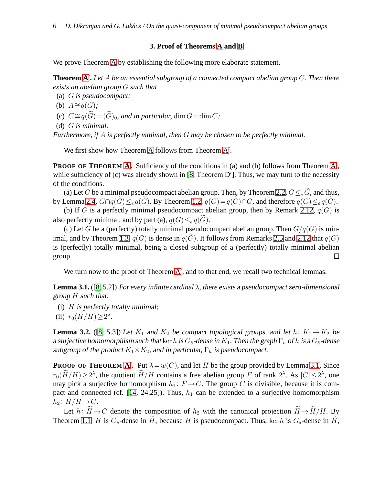## **3. Proof of Theorems [A](#page-2-1) and [B](#page-2-2)**

<span id="page-5-0"></span>We prove Theorem [A](#page-2-1) by establishing the following more elaborate statement.

**Theorem [A](#page-2-1)**′ **.** *Let* A *be an essential subgroup of a connected compact abelian group* C*. Then there exists an abelian group* G *such that*

(a) G *is pseudocompact;*

(b) 
$$
A \cong q(G)
$$
;

(c)  $C \cong q(\widetilde{G}) = (\widetilde{G})_0$ , and in particular, dim  $G = \dim C$ ;

(d) G *is minimal.*

*Furthermore, if* A *is perfectly minimal, then* G *may be chosen to be perfectly minimal.*

We first show how Theorem [A](#page-2-1) follows from Theorem A'.

**PROOF OF THEOREM [A.](#page-2-1)** Sufficiency of the conditions in (a) and (b) follows from Theorem [A](#page-2-1)', while sufficiency of (c) was already shown in [\[8,](#page-7-3) Theorem D']. Thus, we may turn to the necessity of the conditions.

(a) Let G be a minimal pseudocompact abelian group. Then, by Theorem [2.2,](#page-2-4)  $G \leq_{e} \widetilde{G}$ , and thus, by Lemma [2.4,](#page-3-0)  $G \cap q(\widetilde{G}) \leq_e q(\widetilde{G})$ . By Theorem [1.2,](#page-1-2)  $q(G) = q(\widetilde{G}) \cap G$ , and therefore  $q(G) \leq_e q(\widetilde{G})$ .

(b) If G is a perfectly minimal pseudocompact abelian group, then by Remark [2.12,](#page-4-3)  $q(G)$  is also perfectly minimal, and by part (a),  $q(G) \leq_{e} q(G)$ .

(c) Let G be a (perfectly) totally minimal pseudocompact abelian group. Then  $G/q(G)$  is min-imal, and by Theorem [1.3,](#page-1-0)  $q(G)$  is dense in  $q(G)$ . It follows from Remarks [2.5](#page-3-3) and [2.12](#page-4-3) that  $q(G)$ is (perfectly) totally minimal, being a closed subgroup of a (perfectly) totally minimal abelian  $\Box$ group.

We turn now to the proof of Theorem [A](#page-2-1)', and to that end, we recall two technical lemmas.

<span id="page-5-1"></span>**Lemma 3.1.** ([\[8,](#page-7-3) 5.2]) For every infinite cardinal  $\lambda$ , there exists a pseudocompact zero-dimensional group  $H$  such that:

- (i)  $H$  is perfectly totally minimal;
- (ii)  $r_0(H/H) \geq 2^{\lambda}$ .

<span id="page-5-2"></span>**Lemma 3.2.** ([\[8,](#page-7-3) 5.3]) Let  $K_1$  and  $K_2$  be compact topological groups, and let  $h: K_1 \rightarrow K_2$  be a surjective homomorphism such that ker h is  $G_\delta$ -dense in  $K_1$ . Then the graph  $\Gamma_h$  of h is a  $G_\delta$ -dense subgroup of the product  $K_1 \times K_2$ , and in particular,  $\Gamma_h$  is pseudocompact.

**PROOF OF THEOREM [A](#page-2-1)'.** Put  $\lambda = w(C)$ , and let H be the group provided by Lemma [3.1.](#page-5-1) Since  $r_0(\widetilde{H}/H) \ge 2^{\lambda}$ , the quotient  $\widetilde{H}/H$  contains a free abelian group F of rank  $2^{\lambda}$ . As  $|C| \le 2^{\lambda}$ , one may pick a surjective homomorphism  $h_1: F \to C$ . The group C is divisible, because it is com-pact and connected (cf. [\[14,](#page-7-16) 24.25]). Thus,  $h_1$  can be extended to a surjective homomorphism  $h_2: H/H \to C.$ 

Let  $h: \widetilde{H} \to C$  denote the composition of  $h_2$  with the canonical projection  $\widetilde{H} \to \widetilde{H}/H$ . By Theorem [1.1,](#page-0-0) H is  $G_{\delta}$ -dense in  $\widetilde{H}$ , because H is pseudocompact. Thus, ker h is  $G_{\delta}$ -dense in  $\widetilde{H}$ ,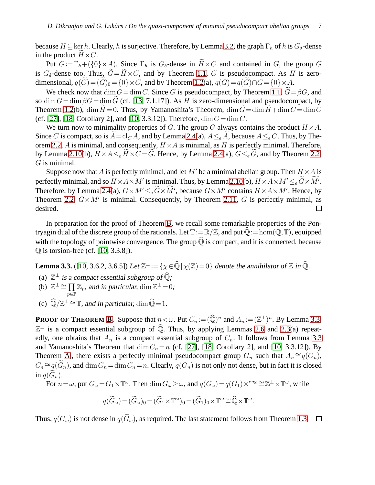because  $H \subseteq \text{ker } h$ . Clearly, h is surjective. Therefore, by Lemma [3.2,](#page-5-2) the graph  $\Gamma_h$  of h is  $G_\delta$ -dense in the product  $H \times C$ .

Put  $G := \Gamma_h + (\{0\} \times A)$ . Since  $\Gamma_h$  is  $G_\delta$ -dense in  $H \times C$  and contained in G, the group G is  $G_{\delta}$ -dense too. Thus,  $\tilde{G} = \tilde{H} \times C$ , and by Theorem [1.1,](#page-0-0) G is pseudocompact. As H is zerodimensional,  $q(\widetilde{G}) = (\widetilde{G})_0 = \{0\} \times C$ , and by Theorem [1.2\(](#page-1-2)a),  $q(G) = q(\widetilde{G}) \cap G = \{0\} \times A$ .

We check now that  $\dim G = \dim C$ . Since G is pseudocompact, by Theorem [1.1,](#page-0-0)  $\widetilde{G} = \beta G$ , and so dim  $G = \dim \beta G = \dim G$  (cf. [\[13,](#page-7-15) 7.1.17]). As H is zero-dimensional and pseudocompact, by Theorem [1.2\(](#page-1-2)b), dim  $H = 0$ . Thus, by Yamanoshita's Theorem, dim  $\tilde{G} = \dim H + \dim C = \dim C$ (cf. [\[27\]](#page-8-8), [\[18,](#page-7-17) Corollary 2], and [\[10,](#page-7-12) 3.3.12]). Therefore,  $\dim G = \dim C$ .

We turn now to minimality properties of G. The group G always contains the product  $H \times A$ . Since C is compact, so is  $A = cl_C A$ , and by Lemma [2.4\(](#page-3-0)a),  $A \leq_e A$ , because  $A \leq_e C$ . Thus, by The-orem [2.2,](#page-2-4) A is minimal, and consequently,  $H \times A$  is minimal, as H is perfectly minimal. Therefore, by Lemma [2.10\(](#page-4-1)b),  $H \times A \leq e \widetilde{H} \times C = \widetilde{G}$ . Hence, by Lemma [2.4\(](#page-3-0)a),  $G \leq e \widetilde{G}$ , and by Theorem [2.2,](#page-2-4) G is minimal.

Suppose now that A is perfectly minimal, and let M' be a minimal abelian group. Then  $H \times A$  is perfectly minimal, and so  $H \times A \times M'$  is minimal. Thus, by Lemma [2.10\(](#page-4-1)b),  $H \times A \times M' \leq_e \widetilde{G} \times \widetilde{M'}$ . Therefore, by Lemma [2.4\(](#page-3-0)a),  $G \times M' \leq_e \widetilde{G} \times \widetilde{M}'$ , because  $G \times M'$  contains  $H \times A \times M'$ . Hence, by Theorem [2.2,](#page-2-4)  $G \times M'$  is minimal. Consequently, by Theorem [2.11,](#page-4-2) G is perfectly minimal, as desired.  $\Box$ 

In preparation for the proof of Theorem [B,](#page-2-2) we recall some remarkable properties of the Pontryagin dual of the discrete group of the rationals. Let  $\mathbb{T}:=\mathbb{R}/\mathbb{Z}$ , and put  $\widehat{\mathbb{Q}}:=$  hom $(\mathbb{Q},\mathbb{T})$ , equipped with the topology of pointwise convergence. The group  $\widehat{\mathbb{Q}}$  is compact, and it is connected, because  $\mathbb Q$  is torsion-free (cf. [\[10,](#page-7-12) 3.3.8]).

<span id="page-6-0"></span>**Lemma 3.3.** ([\[10,](#page-7-12) 3.6.2, 3.6.5]) Let  $\mathbb{Z}^{\perp} := \{ \chi \in \widehat{\mathbb{Q}} \, | \, \chi(\mathbb{Z}) = 0 \}$  denote the annihilator of  $\mathbb Z$  in  $\widehat{\mathbb{Q}}$ .

- (a)  $\mathbb{Z}^{\perp}$  is a compact essential subgroup of  $\widehat{\mathbb{Q}}$ ;
- (b)  $\mathbb{Z}^{\perp} \cong \prod \mathbb{Z}_p$ , and in particular,  $\dim \mathbb{Z}^{\perp} = 0$ ;
- (c)  $\widehat{\mathbb{Q}}/\mathbb{Z}^{\perp} \cong \mathbb{T}$ , and in particular,  $\dim \widehat{\mathbb{Q}} = 1$ .

p∈P

**PROOF OF THEOREM [B.](#page-2-2)** Suppose that  $n < \omega$ . Put  $C_n := (\widehat{\mathbb{Q}})^n$  and  $A_n := (\mathbb{Z}^{\perp})^n$ . By Lemma [3.3,](#page-6-0)  $\mathbb{Z}^{\perp}$  is a compact essential subgroup of  $\widehat{\mathbb{Q}}$ . Thus, by applying Lemmas [2.6](#page-3-1) and [2.3\(](#page-3-2)a) repeatedly, one obtains that  $A_n$  is a compact essential subgroup of  $C_n$ . It follows from Lemma [3.3](#page-6-0) and Yamanoshita's Theorem that  $\dim C_n=n$  (cf. [\[27\]](#page-8-8), [\[18,](#page-7-17) Corollary 2], and [\[10,](#page-7-12) 3.3.12]). By Theorem [A](#page-2-1)', there exists a perfectly minimal pseudocompact group  $G_n$  such that  $A_n \cong q(G_n)$ ,  $C_n \cong q(\widetilde{G}_n)$ , and  $\dim G_n = \dim C_n = n$ . Clearly,  $q(G_n)$  is not only not dense, but in fact it is closed in  $q(G_n)$ .

For  $n = \omega$ , put  $G_{\omega} = G_1 \times \mathbb{T}^{\omega}$ . Then  $\dim G_{\omega} \ge \omega$ , and  $q(G_{\omega}) = q(G_1) \times \mathbb{T}^{\omega} \cong \mathbb{Z}^{\perp} \times \mathbb{T}^{\omega}$ , while

$$
q(\widetilde{G}_{\omega}) = (\widetilde{G}_{\omega})_0 = (\widetilde{G}_1 \times \mathbb{T}^{\omega})_0 = (\widetilde{G}_1)_0 \times \mathbb{T}^{\omega} \cong \widehat{\mathbb{Q}} \times \mathbb{T}^{\omega}.
$$

Thus,  $q(G_\omega)$  is not dense in  $q(\widetilde{G}_\omega)$ , as required. The last statement follows from Theorem [1.3.](#page-1-0)  $\Box$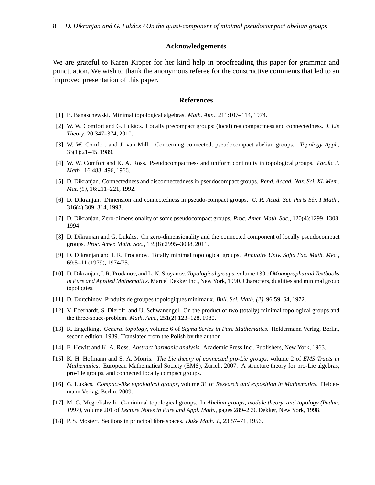## **Acknowledgements**

We are grateful to Karen Kipper for her kind help in proofreading this paper for grammar and punctuation. We wish to thank the anonymous referee for the constructive comments that led to an improved presentation of this paper.

### **References**

- <span id="page-7-11"></span><span id="page-7-6"></span>[1] B. Banaschewski. Minimal topological algebras. *Math. Ann.*, 211:107–114, 1974.
- [2] W. W. Comfort and G. Lukács. Locally precompact groups: (local) realcompactness and connectedness. *J. Lie Theory*, 20:347–374, 2010.
- <span id="page-7-1"></span><span id="page-7-0"></span>[3] W. W. Comfort and J. van Mill. Concerning connected, pseudocompact abelian groups. *Topology Appl.*, 33(1):21–45, 1989.
- <span id="page-7-4"></span>[4] W. W. Comfort and K. A. Ross. Pseudocompactness and uniform continuity in topological groups. *Pacific J. Math.*, 16:483–496, 1966.
- <span id="page-7-8"></span>[5] D. Dikranjan. Connectedness and disconnectedness in pseudocompact groups. *Rend. Accad. Naz. Sci. XL Mem. Mat. (5)*, 16:211–221, 1992.
- [6] D. Dikranjan. Dimension and connectedness in pseudo-compact groups. *C. R. Acad. Sci. Paris Ser. I Math. ´* , 316(4):309–314, 1993.
- <span id="page-7-5"></span><span id="page-7-3"></span>[7] D. Dikranjan. Zero-dimensionality of some pseudocompact groups. *Proc. Amer. Math. Soc.*, 120(4):1299–1308, 1994.
- <span id="page-7-9"></span>[8] D. Dikranjan and G. Lukács. On zero-dimensionality and the connected component of locally pseudocompact groups. *Proc. Amer. Math. Soc.*, 139(8):2995–3008, 2011.
- [9] D. Dikranjan and I. R. Prodanov. Totally minimal topological groups. *Annuaire Univ. Sofia Fac. Math. Méc.*, 69:5–11 (1979), 1974/75.
- <span id="page-7-12"></span>[10] D. Dikranjan, I. R. Prodanov, and L. N. Stoyanov. *Topological groups*, volume 130 of *Monographs and Textbooks in Pure and Applied Mathematics*. Marcel Dekker Inc., New York, 1990. Characters, dualities and minimal group topologies.
- <span id="page-7-10"></span><span id="page-7-7"></span>[11] D. Do¨ıtchinov. Produits de groupes topologiques minimaux. *Bull. Sci. Math. (2)*, 96:59–64, 1972.
- [12] V. Eberhardt, S. Dierolf, and U. Schwanengel. On the product of two (totally) minimal topological groups and the three-space-problem. *Math. Ann.*, 251(2):123–128, 1980.
- <span id="page-7-15"></span>[13] R. Engelking. *General topology*, volume 6 of *Sigma Series in Pure Mathematics*. Heldermann Verlag, Berlin, second edition, 1989. Translated from the Polish by the author.
- <span id="page-7-16"></span><span id="page-7-14"></span>[14] E. Hewitt and K. A. Ross. *Abstract harmonic analysis*. Academic Press Inc., Publishers, New York, 1963.
- [15] K. H. Hofmann and S. A. Morris. *The Lie theory of connected pro-Lie groups*, volume 2 of *EMS Tracts in Mathematics*. European Mathematical Society (EMS), Zürich, 2007. A structure theory for pro-Lie algebras, pro-Lie groups, and connected locally compact groups.
- <span id="page-7-13"></span>[16] G. Luk´acs. *Compact-like topological groups*, volume 31 of *Research and exposition in Mathematics*. Heldermann Verlag, Berlin, 2009.
- <span id="page-7-2"></span>[17] M. G. Megrelishvili. G-minimal topological groups. In *Abelian groups, module theory, and topology (Padua, 1997)*, volume 201 of *Lecture Notes in Pure and Appl. Math.*, pages 289–299. Dekker, New York, 1998.
- <span id="page-7-17"></span>[18] P. S. Mostert. Sections in principal fibre spaces. *Duke Math. J.*, 23:57–71, 1956.